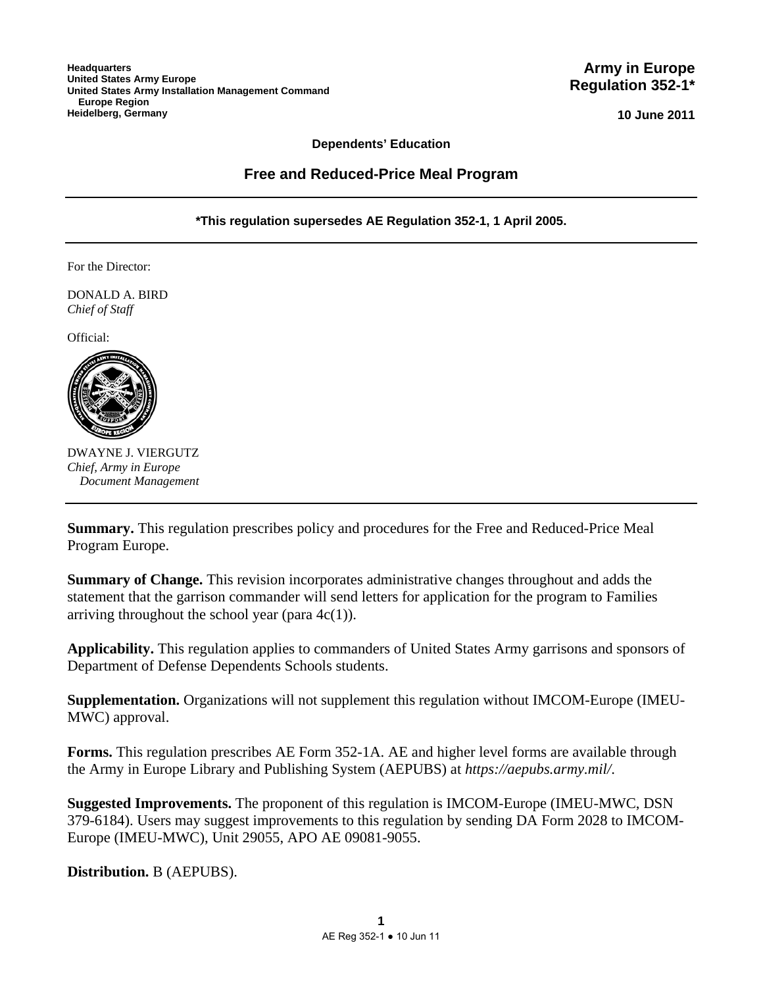**10 June 2011**

#### **Dependents' Education**

#### **Free and Reduced-Price Meal Program**

**\*This regulation supersedes AE Regulation 352-1, 1 April 2005.** 

For the Director:

DONALD A. BIRD *Chief of Staff*

Official:



DWAYNE J. VIERGUTZ *Chief, Army in Europe Document Management* 

**Summary.** This regulation prescribes policy and procedures for the Free and Reduced-Price Meal Program Europe.

**Summary of Change.** This revision incorporates administrative changes throughout and adds the statement that the garrison commander will send letters for application for the program to Families arriving throughout the school year (para  $4c(1)$ ).

**Applicability.** This regulation applies to commanders of United States Army garrisons and sponsors of Department of Defense Dependents Schools students.

**Supplementation.** Organizations will not supplement this regulation without IMCOM-Europe (IMEU-MWC) approval.

**Forms.** This regulation prescribes AE Form 352-1A. AE and higher level forms are available through the Army in Europe Library and Publishing System (AEPUBS) at *https://aepubs.army.mil/*.

**Suggested Improvements.** The proponent of this regulation is IMCOM-Europe (IMEU-MWC, DSN 379-6184). Users may suggest improvements to this regulation by sending DA Form 2028 to IMCOM-Europe (IMEU-MWC), Unit 29055, APO AE 09081-9055.

**Distribution.** B (AEPUBS).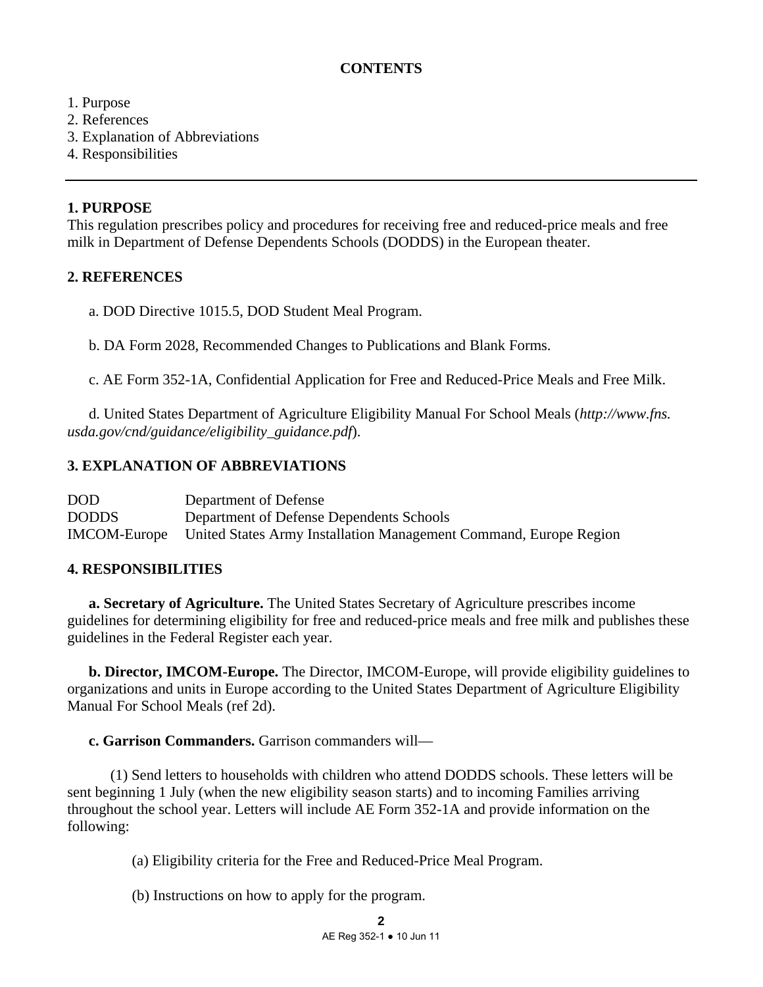# **CONTENTS**

## 1. Purpose

- 2. References
- 3. Explanation of Abbreviations
- 4. Responsibilities

### **1. PURPOSE**

This regulation prescribes policy and procedures for receiving free and reduced-price meals and free milk in Department of Defense Dependents Schools (DODDS) in the European theater.

## **2. REFERENCES**

a. DOD Directive 1015.5, DOD Student Meal Program.

b. DA Form 2028, Recommended Changes to Publications and Blank Forms.

c. AE Form 352-1A, Confidential Application for Free and Reduced-Price Meals and Free Milk.

 d. United States Department of Agriculture Eligibility Manual For School Meals (*http://www.fns. usda.gov/cnd/guidance/eligibility\_guidance.pdf*).

# **3. EXPLANATION OF ABBREVIATIONS**

| <b>DOD</b>   | Department of Defense                                                                 |
|--------------|---------------------------------------------------------------------------------------|
| <b>DODDS</b> | Department of Defense Dependents Schools                                              |
|              | <b>IMCOM-Europe</b> United States Army Installation Management Command, Europe Region |

## **4. RESPONSIBILITIES**

**a. Secretary of Agriculture.** The United States Secretary of Agriculture prescribes income guidelines for determining eligibility for free and reduced-price meals and free milk and publishes these guidelines in the Federal Register each year.

**b. Director, IMCOM-Europe.** The Director, IMCOM-Europe, will provide eligibility guidelines to organizations and units in Europe according to the United States Department of Agriculture Eligibility Manual For School Meals (ref 2d).

## **c. Garrison Commanders.** Garrison commanders will—

 (1) Send letters to households with children who attend DODDS schools. These letters will be sent beginning 1 July (when the new eligibility season starts) and to incoming Families arriving throughout the school year. Letters will include AE Form 352-1A and provide information on the following:

(a) Eligibility criteria for the Free and Reduced-Price Meal Program.

(b) Instructions on how to apply for the program.